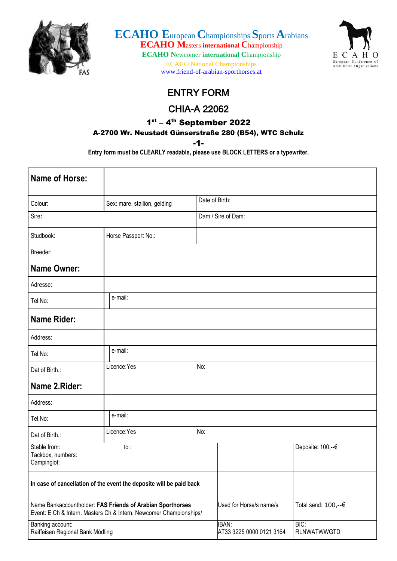

**ECAHO E**uropean **C**hampionships **S**ports**A**rabians **ECAHO M**asters **international C**hampionship **ECAHO N**ewcomer **international C**hampionship

ECAHO National Championships [www.friend-of-arabian-sporthorses.at](http://www.friend-of-arabian-sporthorses.at/)



## ENTRY FORM

## CHIA-A 22062

## 1st – 4th September 2022

## A-2700 Wr. Neustadt Günserstraße 280 (B54), WTC Schulz

-1-

**Entry form must be CLEARLY readable, please use BLOCK LETTERS or a typewriter.**

| <b>Name of Horse:</b>                                |                                                                                                                                  |                                          |                                          |
|------------------------------------------------------|----------------------------------------------------------------------------------------------------------------------------------|------------------------------------------|------------------------------------------|
| Colour:                                              | Sex: mare, stallion, gelding                                                                                                     | Date of Birth:                           |                                          |
| Sire:                                                |                                                                                                                                  | Dam / Sire of Dam:                       |                                          |
| Studbook:                                            | Horse Passport No.:                                                                                                              |                                          |                                          |
| Breeder:                                             |                                                                                                                                  |                                          |                                          |
| <b>Name Owner:</b>                                   |                                                                                                                                  |                                          |                                          |
| Adresse:                                             |                                                                                                                                  |                                          |                                          |
| Tel.No:                                              | e-mail:                                                                                                                          |                                          |                                          |
| <b>Name Rider:</b>                                   |                                                                                                                                  |                                          |                                          |
| Address:                                             |                                                                                                                                  |                                          |                                          |
| Tel.No:                                              | e-mail:                                                                                                                          |                                          |                                          |
| Dat of Birth.:                                       | Licence:Yes                                                                                                                      | No:                                      |                                          |
| Name 2.Rider:                                        |                                                                                                                                  |                                          |                                          |
| Address:                                             |                                                                                                                                  |                                          |                                          |
| Tel.No:                                              | e-mail:                                                                                                                          |                                          |                                          |
| Dat of Birth.:                                       | Licence: Yes                                                                                                                     | No:                                      |                                          |
| Stable from:<br>Tackbox, numbers:<br>Campinglot:     | to:                                                                                                                              |                                          | Deposite: 100,--€                        |
|                                                      | In case of cancellation of the event the deposite will be paid back                                                              |                                          |                                          |
|                                                      | Name Bankaccountholder: FAS Friends of Arabian Sporthorses<br>Event: E Ch & Intern. Masters Ch & Intern. Newcomer Championships/ | Used for Horse/s name/s                  | Total send: 100,--€                      |
| Banking account:<br>Raiffeisen Regional Bank Mödling |                                                                                                                                  | <b>IBAN:</b><br>AT33 3225 0000 0121 3164 | $\overline{BIC}$ :<br><b>RLNWATWWGTD</b> |